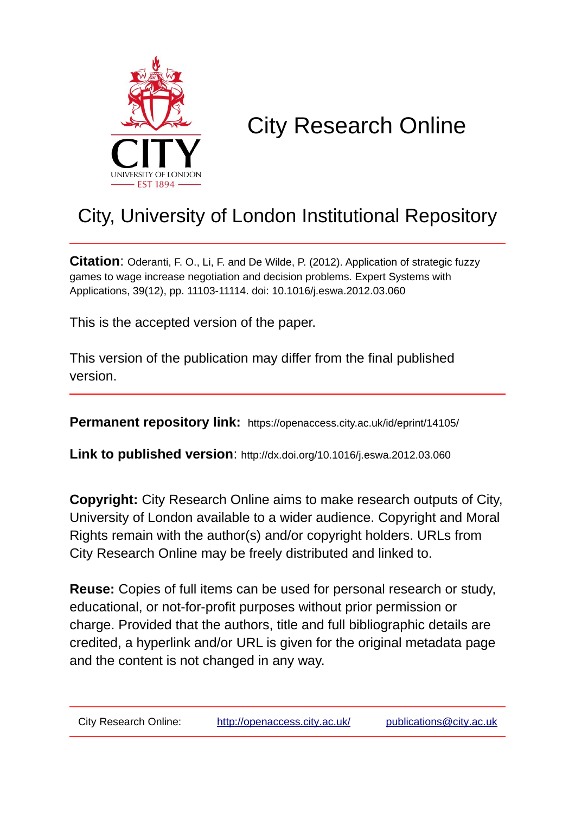

# City Research Online

# City, University of London Institutional Repository

**Citation**: Oderanti, F. O., Li, F. and De Wilde, P. (2012). Application of strategic fuzzy games to wage increase negotiation and decision problems. Expert Systems with Applications, 39(12), pp. 11103-11114. doi: 10.1016/j.eswa.2012.03.060

This is the accepted version of the paper.

This version of the publication may differ from the final published version.

**Permanent repository link:** https://openaccess.city.ac.uk/id/eprint/14105/

**Link to published version**: http://dx.doi.org/10.1016/j.eswa.2012.03.060

**Copyright:** City Research Online aims to make research outputs of City, University of London available to a wider audience. Copyright and Moral Rights remain with the author(s) and/or copyright holders. URLs from City Research Online may be freely distributed and linked to.

**Reuse:** Copies of full items can be used for personal research or study, educational, or not-for-profit purposes without prior permission or charge. Provided that the authors, title and full bibliographic details are credited, a hyperlink and/or URL is given for the original metadata page and the content is not changed in any way.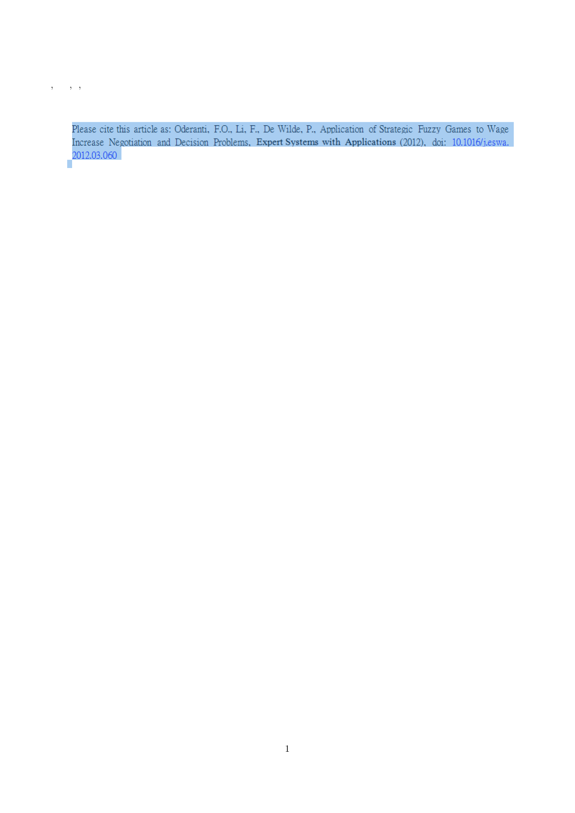Please cite this article as: Oderanti, F.O., Li, F., De Wilde, P., Application of Strategic Fuzzy Games to Wage Increase Negotiation and Decision Problems, Expert Systems with Applications (2012), doi: 10.1016/j.eswa. 2012.03.060 r

 $\, , \qquad , \quad , \quad , \quad$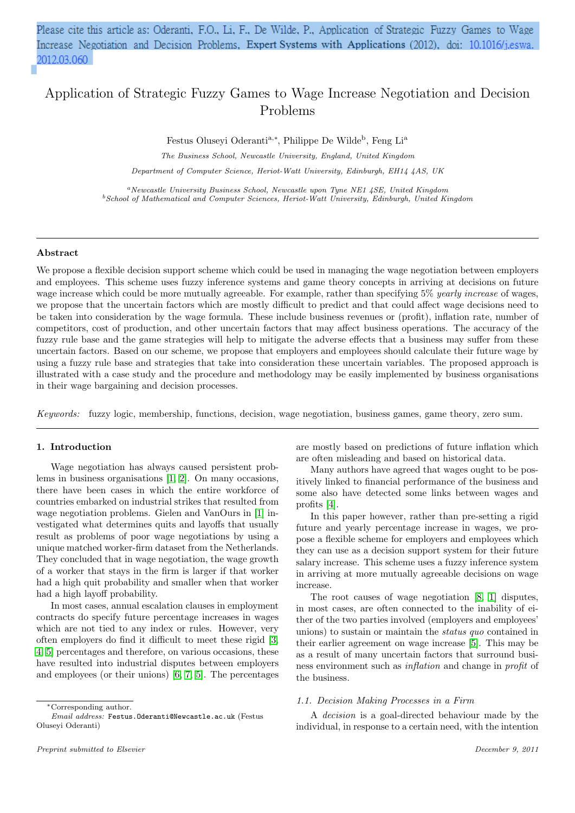Please cite this article as: Oderanti, F.O., Li, F., De Wilde, P., Application of Strategic Fuzzy Games to Wage Increase Negotiation and Decision Problems, Expert Systems with Applications (2012), doi: 10.1016/j.eswa. 2012.03.060

# Application of Strategic Fuzzy Games to Wage Increase Negotiation and Decision Problems

Festus Oluseyi Oderanti<sup>a,\*</sup>, Philippe De Wilde<sup>b</sup>, Feng Li<sup>a</sup>

The Business School, Newcastle University, England, United Kingdom

Department of Computer Science, Heriot-Watt University, Edinburgh, EH14 4AS, UK

<sup>a</sup>Newcastle University Business School, Newcastle upon Tyne NE1 4SE, United Kingdom  $^{b}$ School of Mathematical and Computer Sciences, Heriot-Watt University, Edinburgh, United Kingdom

#### Abstract

We propose a flexible decision support scheme which could be used in managing the wage negotiation between employers and employees. This scheme uses fuzzy inference systems and game theory concepts in arriving at decisions on future wage increase which could be more mutually agreeable. For example, rather than specifying 5% yearly increase of wages, we propose that the uncertain factors which are mostly difficult to predict and that could affect wage decisions need to be taken into consideration by the wage formula. These include business revenues or (profit), inflation rate, number of competitors, cost of production, and other uncertain factors that may affect business operations. The accuracy of the fuzzy rule base and the game strategies will help to mitigate the adverse effects that a business may suffer from these uncertain factors. Based on our scheme, we propose that employers and employees should calculate their future wage by using a fuzzy rule base and strategies that take into consideration these uncertain variables. The proposed approach is illustrated with a case study and the procedure and methodology may be easily implemented by business organisations in their wage bargaining and decision processes.

Keywords: fuzzy logic, membership, functions, decision, wage negotiation, business games, game theory, zero sum.

# <span id="page-2-0"></span>1. Introduction

Wage negotiation has always caused persistent problems in business organisations [\[1,](#page-11-0) [2\]](#page-11-1). On many occasions, there have been cases in which the entire workforce of countries embarked on industrial strikes that resulted from wage negotiation problems. Gielen and VanOurs in [\[1\]](#page-11-0) investigated what determines quits and layoffs that usually result as problems of poor wage negotiations by using a unique matched worker-firm dataset from the Netherlands. They concluded that in wage negotiation, the wage growth of a worker that stays in the firm is larger if that worker had a high quit probability and smaller when that worker had a high layoff probability.

In most cases, annual escalation clauses in employment contracts do specify future percentage increases in wages which are not tied to any index or rules. However, very often employers do find it difficult to meet these rigid [\[3,](#page-11-2) [4,](#page-11-3) [5\]](#page-11-4) percentages and therefore, on various occasions, these have resulted into industrial disputes between employers and employees (or their unions) [\[6,](#page-11-5) [7,](#page-11-6) [5\]](#page-11-4). The percentages are mostly based on predictions of future inflation which are often misleading and based on historical data.

Many authors have agreed that wages ought to be positively linked to financial performance of the business and some also have detected some links between wages and profits [\[4\]](#page-11-3).

In this paper however, rather than pre-setting a rigid future and yearly percentage increase in wages, we propose a flexible scheme for employers and employees which they can use as a decision support system for their future salary increase. This scheme uses a fuzzy inference system in arriving at more mutually agreeable decisions on wage increase.

The root causes of wage negotiation [\[8,](#page-11-7) [1\]](#page-11-0) disputes, in most cases, are often connected to the inability of either of the two parties involved (employers and employees' unions) to sustain or maintain the status quo contained in their earlier agreement on wage increase [\[5\]](#page-11-4). This may be as a result of many uncertain factors that surround business environment such as inflation and change in profit of the business.

## 1.1. Decision Making Processes in a Firm

A decision is a goal-directed behaviour made by the individual, in response to a certain need, with the intention

<sup>∗</sup>Corresponding author.

Email address: Festus.Oderanti@Newcastle.ac.uk (Festus Oluseyi Oderanti)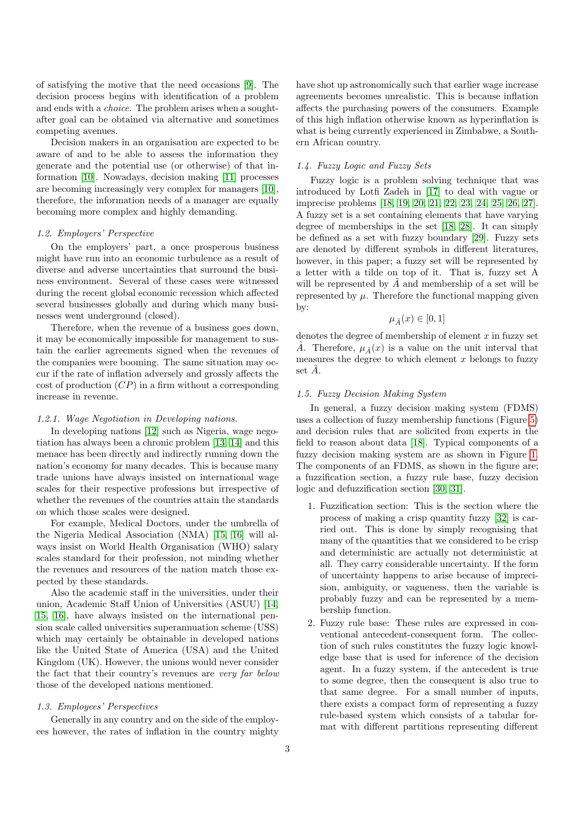of satisfying the motive that the need occasions [\[9\]](#page-11-8). The decision process begins with identification of a problem and ends with a *choice*. The problem arises when a soughtafter goal can be obtained via alternative and sometimes competing avenues.

Decision makers in an organisation are expected to be aware of and to be able to assess the information they generate and the potential use (or otherwise) of that information [\[10\]](#page-11-9). Nowadays, decision making [\[11\]](#page-11-10) processes are becoming increasingly very complex for managers [\[10\]](#page-11-9), therefore, the information needs of a manager are equally becoming more complex and highly demanding.

# 1.2. Employers' Perspective

On the employers' part, a once prosperous business might have run into an economic turbulence as a result of diverse and adverse uncertainties that surround the business environment. Several of these cases were witnessed during the recent global economic recession which affected several businesses globally and during which many businesses went underground (closed).

Therefore, when the revenue of a business goes down, it may be economically impossible for management to sustain the earlier agreements signed when the revenues of the companies were booming. The same situation may occur if the rate of inflation adversely and grossly affects the cost of production  $(CP)$  in a firm without a corresponding increase in revenue.

# 1.2.1. Wage Negotiation in Developing nations.

In developing nations [\[12\]](#page-11-11) such as Nigeria, wage negotiation has always been a chronic problem [\[13,](#page-11-12) [14\]](#page-11-13) and this menace has been directly and indirectly running down the nation's economy for many decades. This is because many trade unions have always insisted on international wage scales for their respective professions but irrespective of whether the revenues of the countries attain the standards on which those scales were designed.

For example, Medical Doctors, under the umbrella of the Nigeria Medical Association (NMA) [\[15,](#page-11-14) [16\]](#page-11-15) will always insist on World Health Organisation (WHO) salary scales standard for their profession, not minding whether the revenues and resources of the nation match those expected by these standards.

Also the academic staff in the universities, under their union, Academic Staff Union of Universities (ASUU) [\[14,](#page-11-13) [15,](#page-11-14) [16\]](#page-11-15), have always insisted on the international pension scale called universities superannuation scheme (USS) which may certainly be obtainable in developed nations like the United State of America (USA) and the United Kingdom (UK). However, the unions would never consider the fact that their country's revenues are very far below those of the developed nations mentioned.

# 1.3. Employees' Perspectives

Generally in any country and on the side of the employees however, the rates of inflation in the country mighty have shot up astronomically such that earlier wage increase agreements becomes unrealistic. This is because inflation affects the purchasing powers of the consumers. Example of this high inflation otherwise known as hyperinflation is what is being currently experienced in Zimbabwe, a Southern African country.

#### 1.4. Fuzzy Logic and Fuzzy Sets

Fuzzy logic is a problem solving technique that was introduced by Lotfi Zadeh in [\[17\]](#page-11-16) to deal with vague or imprecise problems [\[18,](#page-11-17) [19,](#page-11-18) [20,](#page-11-19) [21,](#page-11-20) [22,](#page-11-21) [23,](#page-11-22) [24,](#page-11-23) [25,](#page-11-24) [26,](#page-11-25) [27\]](#page-11-26). A fuzzy set is a set containing elements that have varying degree of memberships in the set [\[18,](#page-11-17) [28\]](#page-11-27). It can simply be defined as a set with fuzzy boundary [\[29\]](#page-11-28). Fuzzy sets are denoted by different symbols in different literatures, however, in this paper; a fuzzy set will be represented by a letter with a tilde on top of it. That is, fuzzy set A will be represented by  $A$  and membership of a set will be represented by  $\mu$ . Therefore the functional mapping given by:

$$
\mu_{\tilde{A}}(x) \in [0,1]
$$

denotes the degree of membership of element  $x$  in fuzzy set  $\tilde{A}$ . Therefore,  $\mu_{\tilde{A}}(x)$  is a value on the unit interval that measures the degree to which element  $x$  belongs to fuzzy set A.

#### 1.5. Fuzzy Decision Making System

In general, a fuzzy decision making system (FDMS) uses a collection of fuzzy membership functions (Figure [5\)](#page-9-0) and decision rules that are solicited from experts in the field to reason about data [\[18\]](#page-11-17). Typical components of a fuzzy decision making system are as shown in Figure [1.](#page-6-0) The components of an FDMS, as shown in the figure are; a fuzzification section, a fuzzy rule base, fuzzy decision logic and defuzzification section [\[30,](#page-11-29) [31\]](#page-11-30).

- 1. Fuzzification section: This is the section where the process of making a crisp quantity fuzzy [\[32\]](#page-11-31) is carried out. This is done by simply recognising that many of the quantities that we considered to be crisp and deterministic are actually not deterministic at all. They carry considerable uncertainty. If the form of uncertainty happens to arise because of imprecision, ambiguity, or vagueness, then the variable is probably fuzzy and can be represented by a membership function.
- 2. Fuzzy rule base: These rules are expressed in conventional antecedent-consequent form. The collection of such rules constitutes the fuzzy logic knowledge base that is used for inference of the decision agent. In a fuzzy system, if the antecedent is true to some degree, then the consequent is also true to that same degree. For a small number of inputs, there exists a compact form of representing a fuzzy rule-based system which consists of a tabular format with different partitions representing different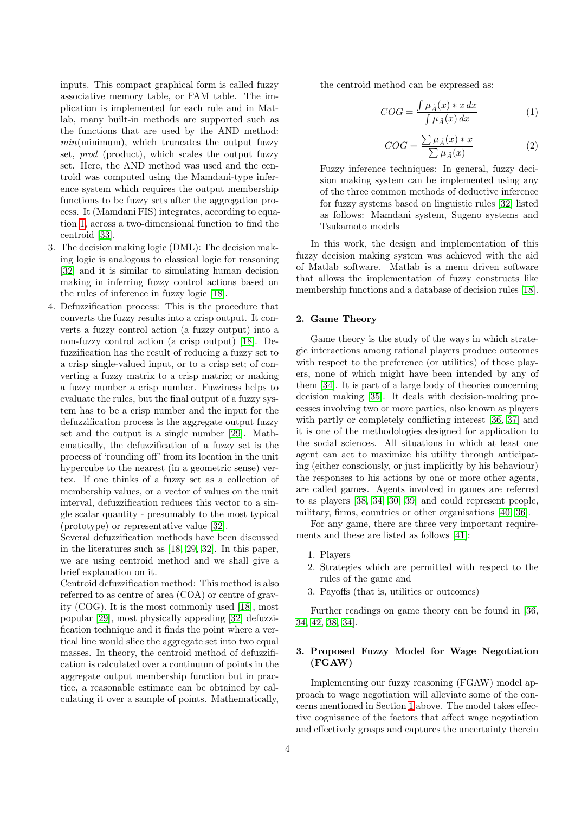inputs. This compact graphical form is called fuzzy associative memory table, or FAM table. The implication is implemented for each rule and in Matlab, many built-in methods are supported such as the functions that are used by the AND method: min(minimum), which truncates the output fuzzy set, prod (product), which scales the output fuzzy set. Here, the AND method was used and the centroid was computed using the Mamdani-type inference system which requires the output membership functions to be fuzzy sets after the aggregation process. It (Mamdani FIS) integrates, according to equation [1,](#page-4-0) across a two-dimensional function to find the centroid [\[33\]](#page-11-32).

- 3. The decision making logic (DML): The decision making logic is analogous to classical logic for reasoning [\[32\]](#page-11-31) and it is similar to simulating human decision making in inferring fuzzy control actions based on the rules of inference in fuzzy logic [\[18\]](#page-11-17).
- 4. Defuzzification process: This is the procedure that converts the fuzzy results into a crisp output. It converts a fuzzy control action (a fuzzy output) into a non-fuzzy control action (a crisp output) [\[18\]](#page-11-17). Defuzzification has the result of reducing a fuzzy set to a crisp single-valued input, or to a crisp set; of converting a fuzzy matrix to a crisp matrix; or making a fuzzy number a crisp number. Fuzziness helps to evaluate the rules, but the final output of a fuzzy system has to be a crisp number and the input for the defuzzification process is the aggregate output fuzzy set and the output is a single number [\[29\]](#page-11-28). Mathematically, the defuzzification of a fuzzy set is the process of 'rounding off' from its location in the unit hypercube to the nearest (in a geometric sense) vertex. If one thinks of a fuzzy set as a collection of membership values, or a vector of values on the unit interval, defuzzification reduces this vector to a single scalar quantity - presumably to the most typical (prototype) or representative value [\[32\]](#page-11-31).

Several defuzzification methods have been discussed in the literatures such as [\[18,](#page-11-17) [29,](#page-11-28) [32\]](#page-11-31). In this paper, we are using centroid method and we shall give a brief explanation on it.

Centroid defuzzification method: This method is also referred to as centre of area (COA) or centre of gravity (COG). It is the most commonly used [\[18\]](#page-11-17), most popular [\[29\]](#page-11-28), most physically appealing [\[32\]](#page-11-31) defuzzification technique and it finds the point where a vertical line would slice the aggregate set into two equal masses. In theory, the centroid method of defuzzification is calculated over a continuum of points in the aggregate output membership function but in practice, a reasonable estimate can be obtained by calculating it over a sample of points. Mathematically,

the centroid method can be expressed as:

<span id="page-4-0"></span>
$$
COG = \frac{\int \mu_{\tilde{A}}(x) * x \, dx}{\int \mu_{\tilde{A}}(x) \, dx} \tag{1}
$$

$$
COG = \frac{\sum \mu_{\tilde{A}}(x) * x}{\sum \mu_{\tilde{A}}(x)} \tag{2}
$$

Fuzzy inference techniques: In general, fuzzy decision making system can be implemented using any of the three common methods of deductive inference for fuzzy systems based on linguistic rules [\[32\]](#page-11-31) listed as follows: Mamdani system, Sugeno systems and Tsukamoto models

In this work, the design and implementation of this fuzzy decision making system was achieved with the aid of Matlab software. Matlab is a menu driven software that allows the implementation of fuzzy constructs like membership functions and a database of decision rules [\[18\]](#page-11-17).

#### 2. Game Theory

Game theory is the study of the ways in which strategic interactions among rational players produce outcomes with respect to the preference (or utilities) of those players, none of which might have been intended by any of them [\[34\]](#page-11-33). It is part of a large body of theories concerning decision making [\[35\]](#page-11-34). It deals with decision-making processes involving two or more parties, also known as players with partly or completely conflicting interest [\[36,](#page-11-35) [37\]](#page-11-36) and it is one of the methodologies designed for application to the social sciences. All situations in which at least one agent can act to maximize his utility through anticipating (either consciously, or just implicitly by his behaviour) the responses to his actions by one or more other agents, are called games. Agents involved in games are referred to as players [\[38,](#page-11-37) [34,](#page-11-33) [30,](#page-11-29) [39\]](#page-11-38) and could represent people, military, firms, countries or other organisations [\[40,](#page-11-39) [36\]](#page-11-35).

For any game, there are three very important requirements and these are listed as follows [\[41\]](#page-11-40):

- 1. Players
- 2. Strategies which are permitted with respect to the rules of the game and
- 3. Payoffs (that is, utilities or outcomes)

Further readings on game theory can be found in [\[36,](#page-11-35) [34,](#page-11-33) [42,](#page-11-41) [38,](#page-11-37) [34\]](#page-11-33).

# 3. Proposed Fuzzy Model for Wage Negotiation (FGAW)

Implementing our fuzzy reasoning (FGAW) model approach to wage negotiation will alleviate some of the concerns mentioned in Section [1](#page-2-0) above. The model takes effective cognisance of the factors that affect wage negotiation and effectively grasps and captures the uncertainty therein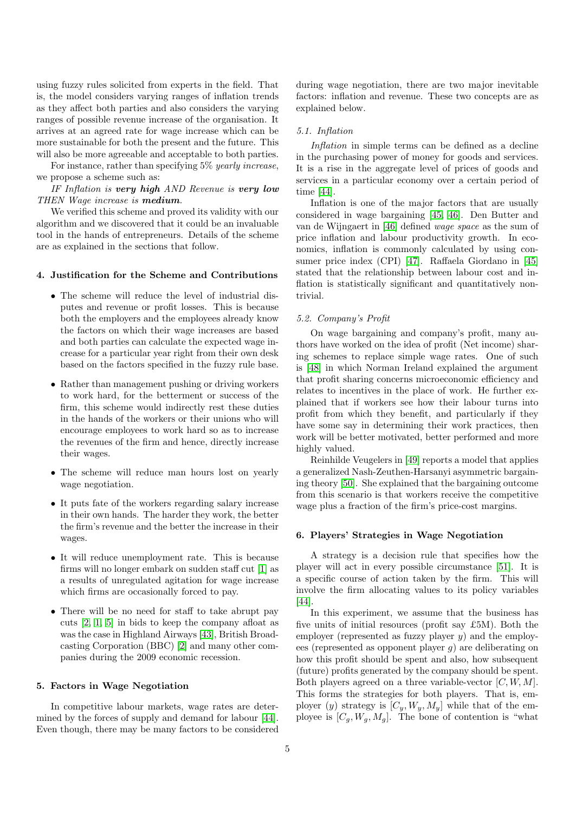using fuzzy rules solicited from experts in the field. That is, the model considers varying ranges of inflation trends as they affect both parties and also considers the varying ranges of possible revenue increase of the organisation. It arrives at an agreed rate for wage increase which can be more sustainable for both the present and the future. This will also be more agreeable and acceptable to both parties.

For instance, rather than specifying 5% *yearly increase*. we propose a scheme such as:

IF Inflation is very high AND Revenue is very low THEN Wage increase is medium.

We verified this scheme and proved its validity with our algorithm and we discovered that it could be an invaluable tool in the hands of entrepreneurs. Details of the scheme are as explained in the sections that follow.

#### 4. Justification for the Scheme and Contributions

- The scheme will reduce the level of industrial disputes and revenue or profit losses. This is because both the employers and the employees already know the factors on which their wage increases are based and both parties can calculate the expected wage increase for a particular year right from their own desk based on the factors specified in the fuzzy rule base.
- Rather than management pushing or driving workers to work hard, for the betterment or success of the firm, this scheme would indirectly rest these duties in the hands of the workers or their unions who will encourage employees to work hard so as to increase the revenues of the firm and hence, directly increase their wages.
- The scheme will reduce man hours lost on yearly wage negotiation.
- It puts fate of the workers regarding salary increase in their own hands. The harder they work, the better the firm's revenue and the better the increase in their wages.
- It will reduce unemployment rate. This is because firms will no longer embark on sudden staff cut [\[1\]](#page-11-0) as a results of unregulated agitation for wage increase which firms are occasionally forced to pay.
- There will be no need for staff to take abrupt pay cuts [\[2,](#page-11-1) [1,](#page-11-0) [5\]](#page-11-4) in bids to keep the company afloat as was the case in Highland Airways [\[43\]](#page-11-42), British Broadcasting Corporation (BBC) [\[2\]](#page-11-1) and many other companies during the 2009 economic recession.

#### 5. Factors in Wage Negotiation

In competitive labour markets, wage rates are determined by the forces of supply and demand for labour [\[44\]](#page-11-43). Even though, there may be many factors to be considered

during wage negotiation, there are two major inevitable factors: inflation and revenue. These two concepts are as explained below.

## 5.1. Inflation

Inflation in simple terms can be defined as a decline in the purchasing power of money for goods and services. It is a rise in the aggregate level of prices of goods and services in a particular economy over a certain period of time [\[44\]](#page-11-43).

Inflation is one of the major factors that are usually considered in wage bargaining [\[45,](#page-11-44) [46\]](#page-11-45). Den Butter and van de Wijngaert in [\[46\]](#page-11-45) defined wage space as the sum of price inflation and labour productivity growth. In economics, inflation is commonly calculated by using consumer price index (CPI) [\[47\]](#page-11-46). Raffaela Giordano in [\[45\]](#page-11-44) stated that the relationship between labour cost and inflation is statistically significant and quantitatively nontrivial.

#### 5.2. Company's Profit

On wage bargaining and company's profit, many authors have worked on the idea of profit (Net income) sharing schemes to replace simple wage rates. One of such is [\[48\]](#page-11-47) in which Norman Ireland explained the argument that profit sharing concerns microeconomic efficiency and relates to incentives in the place of work. He further explained that if workers see how their labour turns into profit from which they benefit, and particularly if they have some say in determining their work practices, then work will be better motivated, better performed and more highly valued.

Reinhilde Veugelers in [\[49\]](#page-11-48) reports a model that applies a generalized Nash-Zeuthen-Harsanyi asymmetric bargaining theory [\[50\]](#page-12-0). She explained that the bargaining outcome from this scenario is that workers receive the competitive wage plus a fraction of the firm's price-cost margins.

#### <span id="page-5-0"></span>6. Players' Strategies in Wage Negotiation

A strategy is a decision rule that specifies how the player will act in every possible circumstance [\[51\]](#page-12-1). It is a specific course of action taken by the firm. This will involve the firm allocating values to its policy variables [\[44\]](#page-11-43).

In this experiment, we assume that the business has five units of initial resources (profit say £5M). Both the employer (represented as fuzzy player  $y$ ) and the employees (represented as opponent player  $g$ ) are deliberating on how this profit should be spent and also, how subsequent (future) profits generated by the company should be spent. Both players agreed on a three variable-vector  $[C, W, M]$ . This forms the strategies for both players. That is, employer (y) strategy is  $[C_y, W_y, M_y]$  while that of the employee is  $[C_g, W_g, M_g]$ . The bone of contention is "what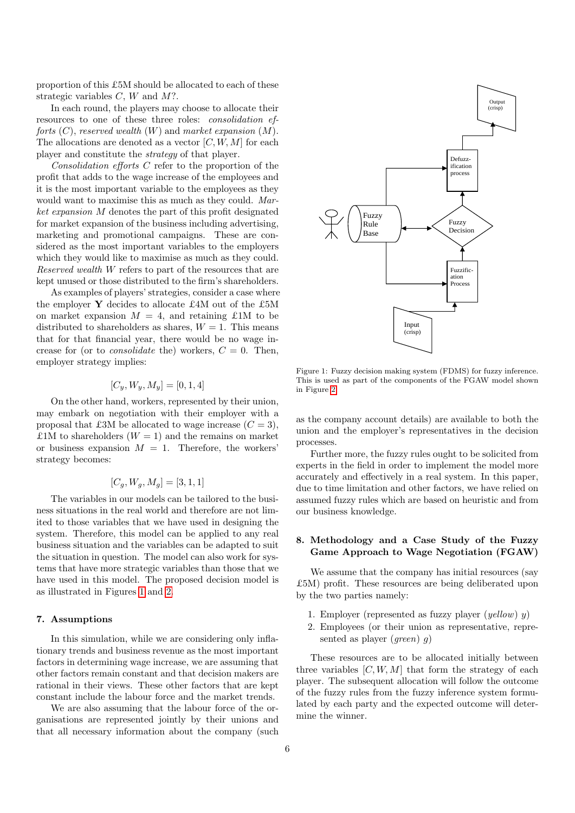proportion of this £5M should be allocated to each of these strategic variables  $C, W$  and  $M?$ .

In each round, the players may choose to allocate their resources to one of these three roles: consolidation efforts  $(C)$ , reserved wealth  $(W)$  and market expansion  $(M)$ . The allocations are denoted as a vector  $[C, W, M]$  for each player and constitute the strategy of that player.

Consolidation efforts C refer to the proportion of the profit that adds to the wage increase of the employees and it is the most important variable to the employees as they would want to maximise this as much as they could. Market expansion M denotes the part of this profit designated for market expansion of the business including advertising, marketing and promotional campaigns. These are considered as the most important variables to the employers which they would like to maximise as much as they could. Reserved wealth W refers to part of the resources that are kept unused or those distributed to the firm's shareholders.

As examples of players' strategies, consider a case where the employer  $\mathbf Y$  decides to allocate £4M out of the £5M on market expansion  $M = 4$ , and retaining £1M to be distributed to shareholders as shares,  $W = 1$ . This means that for that financial year, there would be no wage increase for (or to *consolidate* the) workers,  $C = 0$ . Then, employer strategy implies:

# $[C_y, W_y, M_y] = [0, 1, 4]$

On the other hand, workers, represented by their union, may embark on negotiation with their employer with a proposal that £3M be allocated to wage increase  $(C = 3)$ , £1M to shareholders  $(W = 1)$  and the remains on market or business expansion  $M = 1$ . Therefore, the workers' strategy becomes:

$$
[C_g, W_g, M_g] = [3, 1, 1]
$$

The variables in our models can be tailored to the business situations in the real world and therefore are not limited to those variables that we have used in designing the system. Therefore, this model can be applied to any real business situation and the variables can be adapted to suit the situation in question. The model can also work for systems that have more strategic variables than those that we have used in this model. The proposed decision model is as illustrated in Figures [1](#page-6-0) and [2.](#page-7-0)

#### 7. Assumptions

In this simulation, while we are considering only inflationary trends and business revenue as the most important factors in determining wage increase, we are assuming that other factors remain constant and that decision makers are rational in their views. These other factors that are kept constant include the labour force and the market trends.

We are also assuming that the labour force of the organisations are represented jointly by their unions and that all necessary information about the company (such



<span id="page-6-0"></span>Figure 1: Fuzzy decision making system (FDMS) for fuzzy inference. This is used as part of the components of the FGAW model shown in Figure [2.](#page-7-0)

as the company account details) are available to both the union and the employer's representatives in the decision processes.

Further more, the fuzzy rules ought to be solicited from experts in the field in order to implement the model more accurately and effectively in a real system. In this paper, due to time limitation and other factors, we have relied on assumed fuzzy rules which are based on heuristic and from our business knowledge.

# 8. Methodology and a Case Study of the Fuzzy Game Approach to Wage Negotiation (FGAW)

We assume that the company has initial resources (say £5M) profit. These resources are being deliberated upon by the two parties namely:

- 1. Employer (represented as fuzzy player  $(yellow)$  y)
- <span id="page-6-1"></span>2. Employees (or their union as representative, represented as player (green) g)

These resources are to be allocated initially between three variables  $[C, W, M]$  that form the strategy of each player. The subsequent allocation will follow the outcome of the fuzzy rules from the fuzzy inference system formulated by each party and the expected outcome will determine the winner.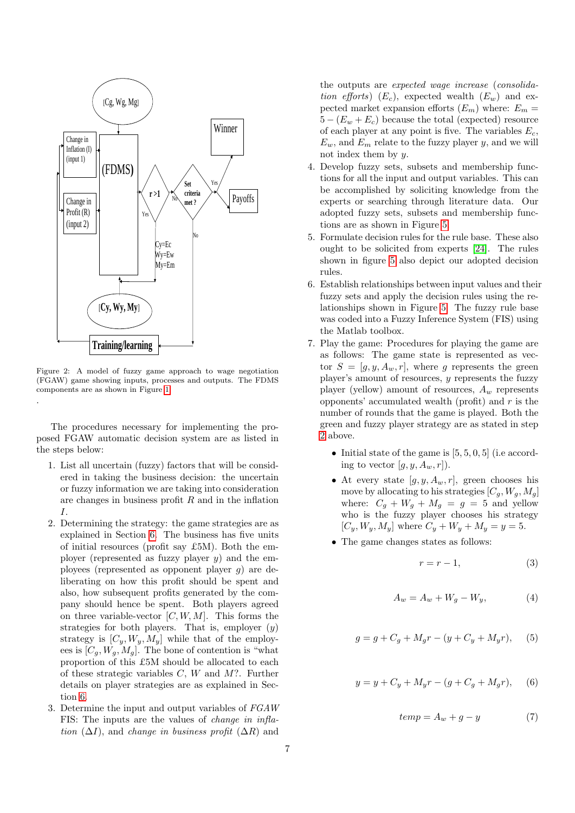

<span id="page-7-0"></span>Figure 2: A model of fuzzy game approach to wage negotiation (FGAW) game showing inputs, processes and outputs. The FDMS components are as shown in Figure [1](#page-6-0)

.

The procedures necessary for implementing the proposed FGAW automatic decision system are as listed in the steps below:

- 1. List all uncertain (fuzzy) factors that will be considered in taking the business decision: the uncertain or fuzzy information we are taking into consideration are changes in business profit  $R$  and in the inflation I.
- <span id="page-7-1"></span>2. Determining the strategy: the game strategies are as explained in Section [6.](#page-5-0) The business has five units of initial resources (profit say £5M). Both the employer (represented as fuzzy player  $y$ ) and the employees (represented as opponent player q) are deliberating on how this profit should be spent and also, how subsequent profits generated by the company should hence be spent. Both players agreed on three variable-vector  $[C, W, M]$ . This forms the strategies for both players. That is, employer  $(y)$ strategy is  $[C_y, W_y, M_y]$  while that of the employees is  $[C_q, W_q, M_q]$ . The bone of contention is "what proportion of this £5M should be allocated to each of these strategic variables  $C, W$  and  $M$ ?. Further details on player strategies are as explained in Section [6.](#page-5-0)
- 3. Determine the input and output variables of FGAW FIS: The inputs are the values of change in inflation  $(\Delta I)$ , and change in business profit  $(\Delta R)$  and

the outputs are expected wage increase (consolidation efforts)  $(E_c)$ , expected wealth  $(E_w)$  and expected market expansion efforts  $(E_m)$  where:  $E_m =$  $5 - (E_w + E_c)$  because the total (expected) resource of each player at any point is five. The variables  $E_c$ ,  $E_w$ , and  $E_m$  relate to the fuzzy player y, and we will not index them by  $y$ .

- 4. Develop fuzzy sets, subsets and membership functions for all the input and output variables. This can be accomplished by soliciting knowledge from the experts or searching through literature data. Our adopted fuzzy sets, subsets and membership functions are as shown in Figure [5.](#page-9-0)
- 5. Formulate decision rules for the rule base. These also ought to be solicited from experts [\[24\]](#page-11-23). The rules shown in figure [5](#page-9-0) also depict our adopted decision rules.
- 6. Establish relationships between input values and their fuzzy sets and apply the decision rules using the relationships shown in Figure [5.](#page-9-0) The fuzzy rule base was coded into a Fuzzy Inference System (FIS) using the Matlab toolbox.
- 7. Play the game: Procedures for playing the game are as follows: The game state is represented as vector  $S = [g, y, A_w, r]$ , where g represents the green player's amount of resources, y represents the fuzzy player (yellow) amount of resources,  $A_w$  represents opponents' accumulated wealth (profit) and  $r$  is the number of rounds that the game is played. Both the green and fuzzy player strategy are as stated in step [2](#page-7-1) above.
	- Initial state of the game is  $[5, 5, 0, 5]$  (i.e according to vector  $[q, y, A_w, r]$ .
	- At every state  $[g, y, A_w, r]$ , green chooses his move by allocating to his strategies  $[C_q, W_q, M_q]$ where:  $C_g + W_g + M_g = g = 5$  and yellow who is the fuzzy player chooses his strategy  $[C_y, W_y, M_y]$  where  $C_y + W_y + M_y = y = 5$ .
	- The game changes states as follows:

$$
r = r - 1,\tag{3}
$$

$$
A_w = A_w + W_g - W_y,\tag{4}
$$

$$
g = g + C_g + M_g r - (y + C_y + M_y r),
$$
 (5)

$$
y = y + C_y + M_y r - (g + C_g + M_g r),
$$
 (6)

$$
temp = A_w + g - y \tag{7}
$$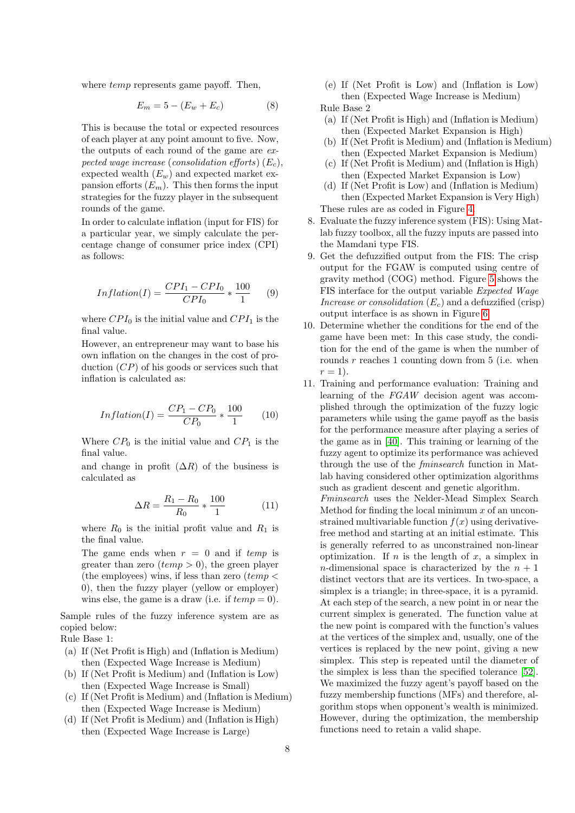where *temp* represents game payoff. Then,

$$
E_m = 5 - (E_w + E_c)
$$
 (8)

This is because the total or expected resources of each player at any point amount to five. Now, the outputs of each round of the game are expected wage increase (consolidation efforts)  $(E_c)$ , expected wealth  $(E_w)$  and expected market expansion efforts  $(E_m)$ . This then forms the input strategies for the fuzzy player in the subsequent rounds of the game.

In order to calculate inflation (input for FIS) for a particular year, we simply calculate the percentage change of consumer price index (CPI) as follows:

$$
Inflation(I) = \frac{CPI_1 - CPI_0}{CPI_0} * \frac{100}{1}
$$
 (9)

where  $CPI_0$  is the initial value and  $CPI_1$  is the final value.

However, an entrepreneur may want to base his own inflation on the changes in the cost of production  $(CP)$  of his goods or services such that inflation is calculated as:

$$
Inflation(I) = \frac{CP_1 - CP_0}{CP_0} * \frac{100}{1}
$$
 (10)

Where  $CP_0$  is the initial value and  $CP_1$  is the final value.

and change in profit  $(\Delta R)$  of the business is calculated as

$$
\Delta R = \frac{R_1 - R_0}{R_0} * \frac{100}{1} \tag{11}
$$

where  $R_0$  is the initial profit value and  $R_1$  is the final value.

The game ends when  $r = 0$  and if  $temp$  is greater than zero  $temp > 0$ , the green player (the employees) wins, if less than zero  $temp <$ 0), then the fuzzy player (yellow or employer) wins else, the game is a draw (i.e. if  $temp = 0$ ).

Sample rules of the fuzzy inference system are as copied below:

Rule Base 1:

- (a) If (Net Profit is High) and (Inflation is Medium) then (Expected Wage Increase is Medium)
- (b) If (Net Profit is Medium) and (Inflation is Low) then (Expected Wage Increase is Small)
- (c) If (Net Profit is Medium) and (Inflation is Medium) then (Expected Wage Increase is Medium)
- (d) If (Net Profit is Medium) and (Inflation is High) then (Expected Wage Increase is Large)
- (e) If (Net Profit is Low) and (Inflation is Low) then (Expected Wage Increase is Medium) Rule Base 2
- (a) If (Net Profit is High) and (Inflation is Medium) then (Expected Market Expansion is High)
- (b) If (Net Profit is Medium) and (Inflation is Medium) then (Expected Market Expansion is Medium)
- (c) If (Net Profit is Medium) and (Inflation is High) then (Expected Market Expansion is Low)
- (d) If (Net Profit is Low) and (Inflation is Medium) then (Expected Market Expansion is Very High) These rules are as coded in Figure [4.](#page-9-1)
- 8. Evaluate the fuzzy inference system (FIS): Using Matlab fuzzy toolbox, all the fuzzy inputs are passed into the Mamdani type FIS.
- 9. Get the defuzzified output from the FIS: The crisp output for the FGAW is computed using centre of gravity method (COG) method. Figure [5](#page-9-0) shows the FIS interface for the output variable Expected Wage Increase or consolidation  $(E_c)$  and a defuzzified (crisp) output interface is as shown in Figure [6.](#page-10-0)
- 10. Determine whether the conditions for the end of the game have been met: In this case study, the condition for the end of the game is when the number of rounds  $r$  reaches 1 counting down from 5 (i.e. when  $r=1$ ).
- <span id="page-8-0"></span>11. Training and performance evaluation: Training and learning of the FGAW decision agent was accomplished through the optimization of the fuzzy logic parameters while using the game payoff as the basis for the performance measure after playing a series of the game as in [\[40\]](#page-11-39). This training or learning of the fuzzy agent to optimize its performance was achieved through the use of the fminsearch function in Matlab having considered other optimization algorithms such as gradient descent and genetic algorithm.

Fminsearch uses the Nelder-Mead Simplex Search Method for finding the local minimum  $x$  of an unconstrained multivariable function  $f(x)$  using derivativefree method and starting at an initial estimate. This is generally referred to as unconstrained non-linear optimization. If  $n$  is the length of  $x$ , a simplex in *n*-dimensional space is characterized by the  $n + 1$ distinct vectors that are its vertices. In two-space, a simplex is a triangle; in three-space, it is a pyramid. At each step of the search, a new point in or near the current simplex is generated. The function value at the new point is compared with the function's values at the vertices of the simplex and, usually, one of the vertices is replaced by the new point, giving a new simplex. This step is repeated until the diameter of the simplex is less than the specified tolerance [\[52\]](#page-12-2). We maximized the fuzzy agent's payoff based on the fuzzy membership functions (MFs) and therefore, algorithm stops when opponent's wealth is minimized. However, during the optimization, the membership functions need to retain a valid shape.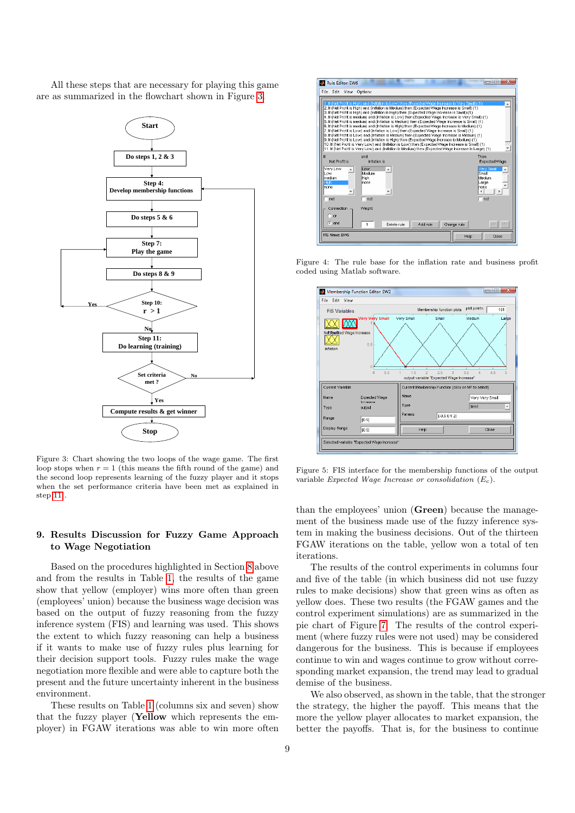All these steps that are necessary for playing this game are as summarized in the flowchart shown in Figure [3.](#page-9-2)



<span id="page-9-2"></span>Figure 3: Chart showing the two loops of the wage game. The first loop stops when  $r = 1$  (this means the fifth round of the game) and the second loop represents learning of the fuzzy player and it stops when the set performance criteria have been met as explained in step [11](#page-8-0) .

# <span id="page-9-3"></span>9. Results Discussion for Fuzzy Game Approach to Wage Negotiation

Based on the procedures highlighted in Section [8](#page-6-1) above and from the results in Table [1,](#page-10-1) the results of the game show that yellow (employer) wins more often than green (employees' union) because the business wage decision was based on the output of fuzzy reasoning from the fuzzy inference system (FIS) and learning was used. This shows the extent to which fuzzy reasoning can help a business if it wants to make use of fuzzy rules plus learning for their decision support tools. Fuzzy rules make the wage negotiation more flexible and were able to capture both the present and the future uncertainty inherent in the business environment.

These results on Table [1](#page-10-1) (columns six and seven) show that the fuzzy player (Yellow which represents the employer) in FGAW iterations was able to win more often



<span id="page-9-1"></span>Figure 4: The rule base for the inflation rate and business profit coded using Matlab software.



<span id="page-9-0"></span>Figure 5: FIS interface for the membership functions of the output variable Expected Wage Increase or consolidation (Ec).

than the employees' union (Green) because the management of the business made use of the fuzzy inference system in making the business decisions. Out of the thirteen FGAW iterations on the table, yellow won a total of ten iterations.

The results of the control experiments in columns four and five of the table (in which business did not use fuzzy rules to make decisions) show that green wins as often as yellow does. These two results (the FGAW games and the control experiment simulations) are as summarized in the pie chart of Figure [7.](#page-10-2) The results of the control experiment (where fuzzy rules were not used) may be considered dangerous for the business. This is because if employees continue to win and wages continue to grow without corresponding market expansion, the trend may lead to gradual demise of the business.

We also observed, as shown in the table, that the stronger the strategy, the higher the payoff. This means that the more the yellow player allocates to market expansion, the better the payoffs. That is, for the business to continue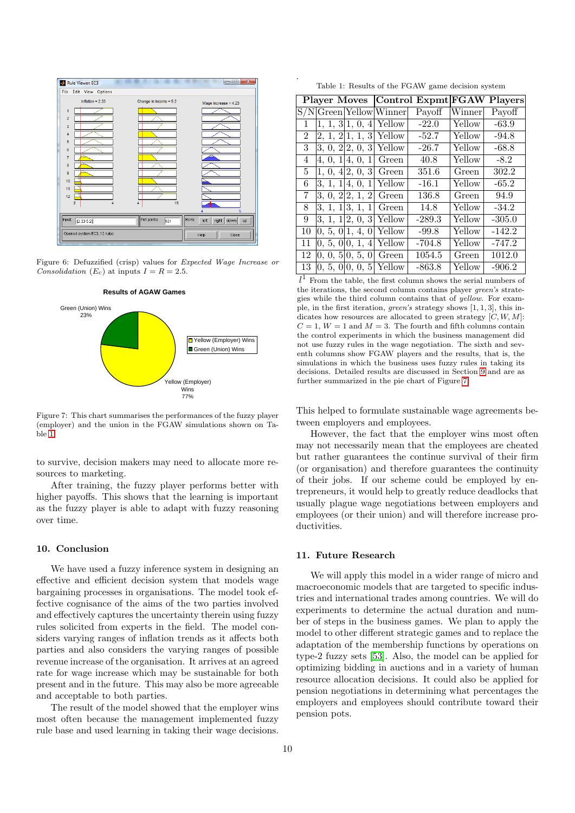| Rule Viewer: EC3            |                        |                                      |  |
|-----------------------------|------------------------|--------------------------------------|--|
| File Edit View Options      |                        |                                      |  |
| Inflation = $2.33$          | Change in Income = 5.2 | Wage Increase = $4.23$               |  |
| 1<br>$\overline{2}$         |                        |                                      |  |
| 3                           |                        |                                      |  |
| $\overline{4}$<br>5         |                        |                                      |  |
| 6                           |                        |                                      |  |
| $\overline{7}$<br>8         |                        |                                      |  |
| 9                           |                        |                                      |  |
| 10<br>11                    |                        |                                      |  |
| 12                          |                        |                                      |  |
| $\overline{2}$              | 15<br>4                |                                      |  |
| Input:<br>[2.335.2]         | Plot points:<br>101    | Move:<br>right<br>left<br>down<br>up |  |
| Opened system EC3, 12 rules |                        | Help<br>Close                        |  |

<span id="page-10-0"></span>Figure 6: Defuzzified (crisp) values for Expected Wage Increase or Consolidation  $(E_c)$  at inputs  $I = R = 2.5$ .



**Results of AGAW Games**

<span id="page-10-2"></span>Figure 7: This chart summarises the performances of the fuzzy player (employer) and the union in the FGAW simulations shown on Table [1.](#page-10-1)

to survive, decision makers may need to allocate more resources to marketing.

After training, the fuzzy player performs better with higher payoffs. This shows that the learning is important as the fuzzy player is able to adapt with fuzzy reasoning over time.

#### 10. Conclusion

We have used a fuzzy inference system in designing an effective and efficient decision system that models wage bargaining processes in organisations. The model took effective cognisance of the aims of the two parties involved and effectively captures the uncertainty therein using fuzzy rules solicited from experts in the field. The model considers varying ranges of inflation trends as it affects both parties and also considers the varying ranges of possible revenue increase of the organisation. It arrives at an agreed rate for wage increase which may be sustainable for both present and in the future. This may also be more agreeable and acceptable to both parties.

The result of the model showed that the employer wins most often because the management implemented fuzzy rule base and used learning in taking their wage decisions.

Table 1: Results of the FGAW game decision system

<span id="page-10-1"></span>.

|                |                               |                                 |          |        | <b>Player Moves Control Expmt FGAW Players</b> |
|----------------|-------------------------------|---------------------------------|----------|--------|------------------------------------------------|
|                |                               | $S/N$ Green Yellow Winner       | Payoff   | Winner | Payoff                                         |
| 1              |                               | 1, 1, 3 1, 0, 4 Yellow          | $-22.0$  | Yellow | $-63.9$                                        |
| $\overline{2}$ |                               | 2, 1, 2  1, 1, 3  Yellow        | $-52.7$  | Yellow | $-94.8$                                        |
| 3              |                               | 3, 0, 2 2, 0, 3  Yellow         | $-26.7$  | Yellow | $-68.8$                                        |
| 4              | 4, 0, 1 4, 0, 1               | Green                           | 40.8     | Yellow | $-8.2$                                         |
| 5              | $1, 0, 4 2, 0, 3 $ Green      |                                 | 351.6    | Green  | 302.2                                          |
| 6              | 3, 1, 1 4, 0, 1               | Yellow                          | $-16.1$  | Yellow | $-65.2$                                        |
| 7              | 3, 0, 2   2, 1, 2   Green     |                                 | 136.8    | Green  | 94.9                                           |
| 8              | $\overline{3, 1}$ , 1 3, 1, 1 | Green                           | 14.8     | Yellow | $-34.2$                                        |
| 9              |                               | 3, 1, 1 2, 0, 3  Yellow         | $-289.3$ | Yellow | $-305.0$                                       |
| 10             | $[0, 5, 0]$ 1, 4, 0           | Yellow                          | $-99.8$  | Yellow | $-142.2$                                       |
| 11             |                               | $[0, 5, 0]$ , 1, 4 Yellow       | $-704.8$ | Yellow | $-747.2$                                       |
| 12             |                               | $[0, 0, 5]$ , $[0, 5, 0]$ Green | 1054.5   | Green  | 1012.0                                         |
| 13             | 0, 5, 0 0, 0, 5               | Yellow                          | $-863.8$ | Yellow | $-906.2$                                       |

 $l<sup>1</sup>$  From the table, the first column shows the serial numbers of the iterations, the second column contains player green's strategies while the third column contains that of yellow. For example, in the first iteration, green's strategy shows [1, 1, 3], this indicates how resources are allocated to green strategy  $[C, W, M]$ :  $C = 1, W = 1$  and  $M = 3$ . The fourth and fifth columns contain the control experiments in which the business management did not use fuzzy rules in the wage negotiation. The sixth and seventh columns show FGAW players and the results, that is, the simulations in which the business uses fuzzy rules in taking its decisions. Detailed results are discussed in Section [9](#page-9-3) and are as further summarized in the pie chart of Figure [7.](#page-10-2)

This helped to formulate sustainable wage agreements between employers and employees.

However, the fact that the employer wins most often may not necessarily mean that the employees are cheated but rather guarantees the continue survival of their firm (or organisation) and therefore guarantees the continuity of their jobs. If our scheme could be employed by entrepreneurs, it would help to greatly reduce deadlocks that usually plague wage negotiations between employers and employees (or their union) and will therefore increase productivities.

#### 11. Future Research

We will apply this model in a wider range of micro and macroeconomic models that are targeted to specific industries and international trades among countries. We will do experiments to determine the actual duration and number of steps in the business games. We plan to apply the model to other different strategic games and to replace the adaptation of the membership functions by operations on type-2 fuzzy sets [\[53\]](#page-12-3). Also, the model can be applied for optimizing bidding in auctions and in a variety of human resource allocation decisions. It could also be applied for pension negotiations in determining what percentages the employers and employees should contribute toward their pension pots.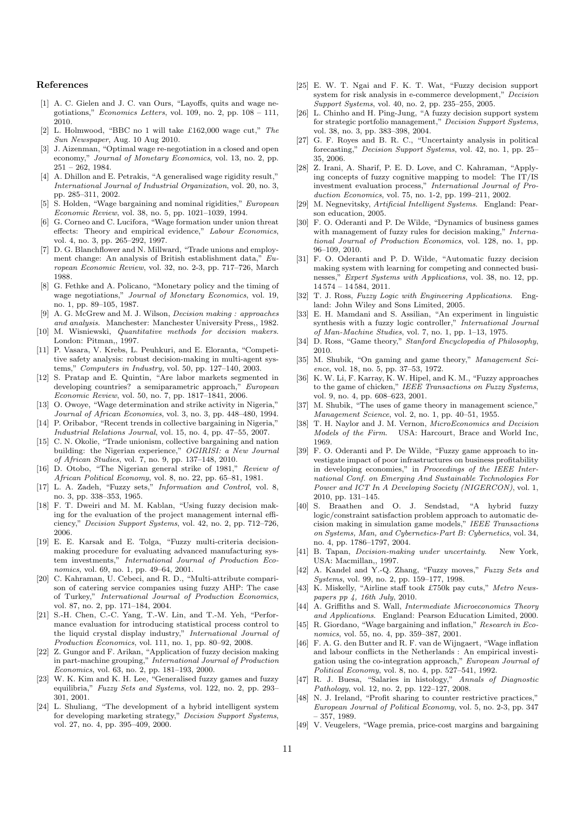#### References

- <span id="page-11-0"></span>[1] A. C. Gielen and J. C. van Ours, "Layoffs, quits and wage negotiations," Economics Letters, vol. 109, no. 2, pp.  $108 - 111$ , 2010.
- <span id="page-11-1"></span>[2] L. Holmwood, "BBC no 1 will take £162,000 wage cut," The Sun Newspaper, Aug. 10 Aug 2010.
- <span id="page-11-2"></span>[3] J. Aizenman, "Optimal wage re-negotiation in a closed and open economy," Journal of Monetary Economics, vol. 13, no. 2, pp. 251 – 262, 1984.
- <span id="page-11-3"></span>[4] A. Dhillon and E. Petrakis, "A generalised wage rigidity result," International Journal of Industrial Organization, vol. 20, no. 3, pp. 285–311, 2002.
- <span id="page-11-4"></span>[5] S. Holden, "Wage bargaining and nominal rigidities," European Economic Review, vol. 38, no. 5, pp. 1021–1039, 1994.
- <span id="page-11-5"></span>[6] G. Corneo and C. Lucifora, "Wage formation under union threat effects: Theory and empirical evidence," Labour Economics, vol. 4, no. 3, pp. 265–292, 1997.
- <span id="page-11-6"></span>[7] D. G. Blanchflower and N. Millward, "Trade unions and employment change: An analysis of British establishment data," European Economic Review, vol. 32, no. 2-3, pp. 717–726, March 1988.
- <span id="page-11-7"></span>[8] G. Fethke and A. Policano, "Monetary policy and the timing of wage negotiations," Journal of Monetary Economics, vol. 19, no. 1, pp. 89–105, 1987.
- <span id="page-11-8"></span>[9] A. G. McGrew and M. J. Wilson, Decision making : approaches and analysis. Manchester: Manchester University Press,, 1982.
- <span id="page-11-9"></span>[10] M. Wisniewski, Quantitative methods for decision makers. London: Pitman,, 1997.
- <span id="page-11-10"></span>[11] P. Vasara, V. Krebs, L. Peuhkuri, and E. Eloranta, "Competitive safety analysis: robust decision-making in multi-agent systems," Computers in Industry, vol. 50, pp. 127–140, 2003.
- <span id="page-11-11"></span>[12] S. Pratap and E. Quintin, "Are labor markets segmented in developing countries? a semiparametric approach," European Economic Review, vol. 50, no. 7, pp. 1817–1841, 2006.
- <span id="page-11-12"></span>[13] O. Owoye, "Wage determination and strike activity in Nigeria," Journal of African Economies, vol. 3, no. 3, pp. 448–480, 1994.
- <span id="page-11-13"></span>[14] P. Oribabor, "Recent trends in collective bargaining in Nigeria," Industrial Relations Journal, vol. 15, no. 4, pp. 47–55, 2007.
- <span id="page-11-14"></span>[15] C. N. Okolie, "Trade unionism, collective bargaining and nation building: the Nigerian experience," OGIRISI: a New Journal of African Studies, vol. 7, no. 9, pp. 137–148, 2010.
- <span id="page-11-15"></span>[16] D. Otobo, "The Nigerian general strike of 1981," Review of African Political Economy, vol. 8, no. 22, pp. 65–81, 1981.
- <span id="page-11-16"></span>[17] L. A. Zadeh, "Fuzzy sets," Information and Control, vol. 8, no. 3, pp. 338–353, 1965.
- <span id="page-11-17"></span>[18] F. T. Dweiri and M. M. Kablan, "Using fuzzy decision making for the evaluation of the project management internal efficiency," Decision Support Systems, vol. 42, no. 2, pp. 712–726, 2006.
- <span id="page-11-18"></span>[19] E. E. Karsak and E. Tolga, "Fuzzy multi-criteria decisionmaking procedure for evaluating advanced manufacturing system investments," International Journal of Production Economics, vol. 69, no. 1, pp. 49–64, 2001.
- <span id="page-11-19"></span>[20] C. Kahraman, U. Cebeci, and R. D., "Multi-attribute comparison of catering service companies using fuzzy AHP: The case of Turkey," International Journal of Production Economics, vol. 87, no. 2, pp. 171–184, 2004.
- <span id="page-11-20"></span>[21] S.-H. Chen, C.-C. Yang, T.-W. Lin, and T.-M. Yeh, "Performance evaluation for introducing statistical process control to the liquid crystal display industry," International Journal of Production Economics, vol. 111, no. 1, pp. 80–92, 2008.
- <span id="page-11-21"></span>[22] Z. Gungor and F. Arikan, "Application of fuzzy decision making in part-machine grouping," International Journal of Production Economics, vol. 63, no. 2, pp. 181–193, 2000.
- <span id="page-11-22"></span>[23] W. K. Kim and K. H. Lee, "Generalised fuzzy games and fuzzy equilibria," Fuzzy Sets and Systems, vol. 122, no. 2, pp. 293– 301, 2001.
- <span id="page-11-23"></span>[24] L. Shuliang, "The development of a hybrid intelligent system for developing marketing strategy," Decision Support Systems, vol. 27, no. 4, pp. 395–409, 2000.
- <span id="page-11-24"></span>[25] E. W. T. Ngai and F. K. T. Wat, "Fuzzy decision support system for risk analysis in e-commerce development," Decision Support Systems, vol. 40, no. 2, pp. 235–255, 2005.
- <span id="page-11-25"></span>[26] L. Chinho and H. Ping-Jung, "A fuzzy decision support system for strategic portfolio management," Decision Support Systems, vol. 38, no. 3, pp. 383–398, 2004.
- <span id="page-11-26"></span>[27] G. F. Royes and B. R. C., "Uncertainty analysis in political forecasting," Decision Support Systems, vol. 42, no. 1, pp. 25– 35, 2006.
- <span id="page-11-27"></span>[28] Z. Irani, A. Sharif, P. E. D. Love, and C. Kahraman, "Applying concepts of fuzzy cognitive mapping to model: The IT/IS investment evaluation process," International Journal of Production Economics, vol. 75, no. 1-2, pp. 199–211, 2002.
- <span id="page-11-28"></span>[29] M. Negnevitsky, Artificial Intelligent Systems. England: Pearson education, 2005.
- <span id="page-11-29"></span>[30] F. O. Oderanti and P. De Wilde, "Dynamics of business games with management of fuzzy rules for decision making," International Journal of Production Economics, vol. 128, no. 1, pp. 96–109, 2010.
- <span id="page-11-30"></span>[31] F. O. Oderanti and P. D. Wilde, "Automatic fuzzy decision making system with learning for competing and connected businesses," Expert Systems with Applications, vol. 38, no. 12, pp. 14 574 – 14 584, 2011.
- <span id="page-11-31"></span>[32] T. J. Ross, Fuzzy Logic with Engineering Applications. England: John Wiley and Sons Limited, 2005.
- <span id="page-11-32"></span>[33] E. H. Mamdani and S. Assilian, "An experiment in linguistic synthesis with a fuzzy logic controller," International Journal of Man-Machine Studies, vol. 7, no. 1, pp. 1–13, 1975.
- <span id="page-11-33"></span>[34] D. Ross, "Game theory," Stanford Encyclopedia of Philosophy, 2010.
- <span id="page-11-34"></span>[35] M. Shubik, "On gaming and game theory," Management Science, vol. 18, no. 5, pp. 37–53, 1972.
- <span id="page-11-35"></span>[36] K. W. Li, F. Karray, K. W. Hipel, and K. M., "Fuzzy approaches to the game of chicken," IEEE Transactions on Fuzzy Systems, vol. 9, no. 4, pp. 608–623, 2001.
- <span id="page-11-36"></span>[37] M. Shubik, "The uses of game theory in management science," Management Science, vol. 2, no. 1, pp. 40–51, 1955.
- <span id="page-11-37"></span>[38] T. H. Naylor and J. M. Vernon, MicroEconomics and Decision Models of the Firm. USA: Harcourt, Brace and World Inc, 1969.
- <span id="page-11-38"></span>[39] F. O. Oderanti and P. De Wilde, "Fuzzy game approach to investigate impact of poor infrastructures on business profitability in developing economies," in Proceedings of the IEEE International Conf. on Emerging And Sustainable Technologies For Power and ICT In A Developing Society (NIGERCON), vol. 1, 2010, pp. 131–145.
- <span id="page-11-39"></span>[40] S. Braathen and O. J. Sendstad, "A hybrid fuzzy logic/constraint satisfaction problem approach to automatic decision making in simulation game models," IEEE Transactions on Systems, Man, and Cybernetics-Part B: Cybernetics, vol. 34, no. 4, pp. 1786–1797, 2004.
- <span id="page-11-40"></span>[41] B. Tapan, Decision-making under uncertainty. New York, USA: Macmillan,, 1997.
- <span id="page-11-41"></span>[42] A. Kandel and Y.-Q. Zhang, "Fuzzy moves," Fuzzy Sets and Systems, vol. 99, no. 2, pp. 159–177, 1998.
- <span id="page-11-42"></span>[43] K. Miskelly, "Airline staff took £750k pay cuts," Metro Newspapers pp 4, 16th July, 2010.
- <span id="page-11-43"></span>[44] A. Griffiths and S. Wall, *Intermediate Microeconomics Theory* and Applications. England: Pearson Education Limited, 2000.
- <span id="page-11-44"></span>[45] R. Giordano, "Wage bargaining and inflation," Research in Economics, vol. 55, no. 4, pp. 359–387, 2001.
- <span id="page-11-45"></span>[46] F. A. G. den Butter and R. F. van de Wijngaert, "Wage inflation and labour conflicts in the Netherlands : An empirical investigation using the co-integration approach," European Journal of Political Economy, vol. 8, no. 4, pp. 527–541, 1992.
- <span id="page-11-46"></span>[47] R. J. Buesa, "Salaries in histology," Annals of Diagnostic Pathology, vol. 12, no. 2, pp. 122–127, 2008.
- <span id="page-11-47"></span>[48] N. J. Ireland, "Profit sharing to counter restrictive practices," European Journal of Political Economy, vol. 5, no. 2-3, pp. 347 – 357, 1989.
- <span id="page-11-48"></span>[49] V. Veugelers, "Wage premia, price-cost margins and bargaining